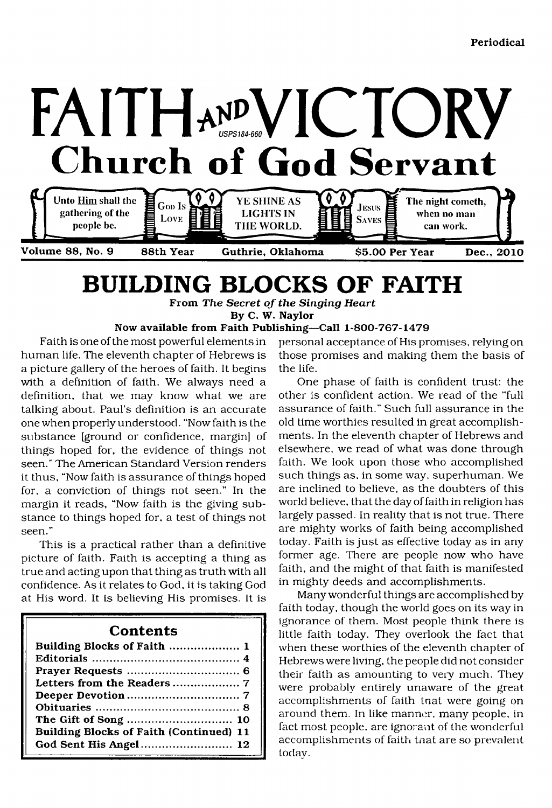

# <span id="page-0-0"></span>**BUILDING BLOCKS OF FAITH**

**From** *The Secret of the Singing Heart* **By C. W. Naylor**

#### **Now available from Faith Publishing—Call 1-800-767-1479**

Faith is one of the most powerful elements in human life. The eleventh chapter of Hebrews is a picture gallery of the heroes of faith. It begins with a definition of faith. We always need a definition, that we may know what we are talking about. Paul's definition is an accurate one when properly understood. "Now faith is the substance [ground or confidence, margin] of things hoped for, the evidence of things not seen." The American Standard Version renders it thus, "Now faith is assurance of things hoped for, a conviction of things not seen." In the margin it reads, "Now faith is the giving substance to things hoped for, a test of things not seen."

This is a practical rather than a definitive picture of faith. Faith is accepting a thing as true and acting upon that thing as truth with all confidence. As it relates to God, it is taking God at His word. It is believing His promises. It is

### **Contents**

| Building Blocks of Faith  1             |
|-----------------------------------------|
|                                         |
|                                         |
|                                         |
|                                         |
|                                         |
|                                         |
| Building Blocks of Faith (Continued) 11 |
| God Sent His Angel 12                   |

personal acceptance of His promises, relying on those promises and making them the basis of the life.

One phase of faith is confident trust: the other is confident action. We read of the "full assurance of faith." Such full assurance in the old time worthies resulted in great accomplishments. In the eleventh chapter of Hebrews and elsewhere, we read of what was done through faith. We look upon those who accomplished such things as, in some way, superhuman. We are inclined to believe, as the doubters of this world believe, that the day of faith in religion has largely passed. In reality that is not true. There are mighty works of faith being accomplished today. Faith is just as effective today as in any former age. There are people now who have faith, and the might of that faith is manifested in mighty deeds and accomplishments.

Many wonderful things are accomplished by faith today, though the world goes on its way in ignorance of them. Most people think there is little faith today. They overlook the fact that when these worthies of the eleventh chapter of Hebrews were living, the people did not consider their faith as amounting to very much. They were probably entirely unaware of the great accomplishments of faith tnat were going on around them. In like manner, many people, in fact most people, are ignorant of the wonderful accomplishments of faith tnat are so prevalent today.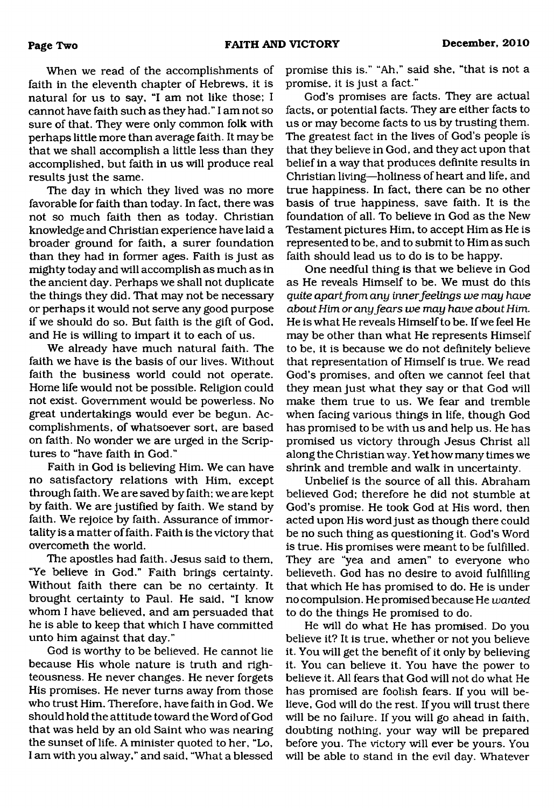When we read of the accomplishments of faith in the eleventh chapter of Hebrews, it is natural for us to say, "I am not like those; I cannot have faith such as they had." I am not so sure of that. They were only common folk with perhaps little more than average faith. It may be that we shall accomplish a little less than they accomplished, but faith in us will produce real results just the same.

The day in which they lived was no more favorable for faith than today. In fact, there was not so much faith then as today. Christian knowledge and Christian experience have laid a broader ground for faith, a surer foundation than they had in former ages. Faith is just as mighty today and will accomplish as much as in the ancient day. Perhaps we shall not duplicate the things they did. That may not be necessary or perhaps it would not serve any good purpose if we should do so. But faith is the gift of God, and He is willing to impart it to each of us.

We already have much natural faith. The faith we have is the basis of our lives. Without faith the business world could not operate. Home life would not be possible. Religion could not exist. Government would be powerless. No great undertakings would ever be begun. Accomplishments, of whatsoever sort, are based on faith. No wonder we are urged in the Scriptures to "have faith in God."

Faith in God is believing Him. We can have no satisfactory relations with Him, except through faith. We are saved by faith; we are kept by faith. We are justified by faith. We stand by faith. We rejoice by faith. Assurance of immortality is a matter of faith. Faith is the victory that overcometh the world.

The apostles had faith. Jesus said to them, "Ye believe in God." Faith brings certainty. Without faith there can be no certainty. It brought certainty to Paul. He said, "I know whom I have believed, and am persuaded that he is able to keep that which I have committed unto him against that day."

God is worthy to be believed. He cannot lie because His whole nature is truth and righteousness. He never changes. He never forgets His promises. He never turns away from those who trust Him. Therefore, have faith in God. We should hold the attitude toward the Word of God that was held by an old Saint who was nearing the sunset of life. A minister quoted to her, "Lo, I am with you alway," and said. "What a blessed

promise this is." "Ah," said she, "that is not a promise, it is just a fact."

God's promises are facts. They are actual facts, or potential facts. They are either facts to us or may become facts to us by trusting them. The greatest fact in the lives of God's people is that they believe in God, and they act upon that belief in a way that produces definite results in Christian living—holiness of heart and life, and true happiness. In fact, there can be no other basis of true happiness, save faith. It is the foundation of all. To believe in God as the New Testament pictures Him, to accept Him as He is represented to be, and to submit to Him as such faith should lead us to do is to be happy.

One needful thing is that we believe in God as He reveals Himself to be. We must do this *quite apart from any innerfeelings we may have about Him or any fears we may have about Him.* He is what He reveals Himself to be. If we feel He may be other than what He represents Himself to be, it is because we do not definitely believe that representation of Himself is true. We read God's promises, and often we cannot feel that they mean just what they say or that God will make them true to us. We fear and tremble when facing various things in life, though God has promised to be with us and help us. He has promised us victory through Jesus Christ all along the Christian way. Yet how many times we shrink and tremble and walk in uncertainty.

Unbelief is the source of all this. Abraham believed God; therefore he did not stumble at God's promise. He took God at His word, then acted upon His word just as though there could be no such thing as questioning it. God's Word is true. His promises were meant to be fulfilled. They are "yea and amen" to everyone who believeth. God has no desire to avoid fulfilling that which He has promised to do. He is under no compulsion. He promised because He *wanted* to do the things He promised to do.

He will do what He has promised. Do you believe it? It is true, whether or not you believe it. You will get the benefit of it only by believing it. You can believe it. You have the power to believe it. All fears that God will not do what He has promised are foolish fears. If you will believe, God will do the rest. If you will trust there will be no failure. If you will go ahead in faith, doubting nothing, your way will be prepared before you. The victory will ever be yours. You will be able to stand in the evil day. Whatever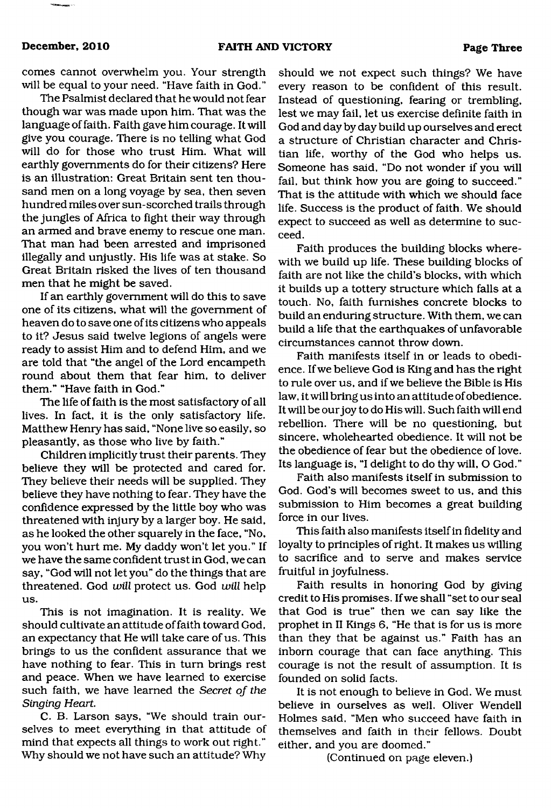comes cannot overwhelm you. Your strength will be equal to your need. "Have faith in God."

The Psalmist declared that he would not fear though war was made upon him. That was the language of faith. Faith gave him courage. It will give you courage. There is no telling what God will do for those who trust Him. What will earthly governments do for their citizens? Here is an illustration: Great Britain sent ten thousand men on a long voyage by sea, then seven hundred miles over sun-scorched trails through the jungles of Africa to fight their way through an armed and brave enemy to rescue one man. That man had been arrested and imprisoned illegally and unjustly. His life was at stake. So Great Britain risked the lives of ten thousand men that he might be saved.

If an earthly government will do this to save one of its citizens, what will the government of heaven do to save one of its citizens who appeals to it? Jesus said twelve legions of angels were ready to assist Him and to defend Him, and we are told that "the angel of the Lord encampeth round about them that fear him, to deliver them." "Have faith in God."

The life of faith is the most satisfactory of all lives. In fact, it is the only satisfactory life. Matthew Henry has said, "None live so easily, so pleasantly, as those who live by faith."

Children implicitly trust their parents. They believe they will be protected and cared for. They believe their needs will be supplied. They believe they have nothing to fear. They have the confidence expressed by the little boy who was threatened with injury by a larger boy. He said, as he looked the other squarely in the face, "No, you won't hurt me. My daddy won't let you." If we have the same confident trust in God, we can say, "God will not let you" do the things that are threatened. God *will* protect us. God *will* help us.

This is not imagination. It is reality. We should cultivate an attitude of faith toward God, an expectancy that He will take care of us. This brings to us the confident assurance that we have nothing to fear. This in turn brings rest and peace. When we have learned to exercise such faith, we have learned the *Secret of the Singing Heart.*

C. B. Larson says, "We should train ourselves to meet everything in that attitude of mind that expects all things to work out right." Why should we not have such an attitude? Why

should we not expect such things? We have every reason to be confident of this result. Instead of questioning, fearing or trembling, lest we may fail, let us exercise definite faith in God and day by day build up ourselves and erect a structure of Christian character and Christian life, worthy of the God who helps us. Someone has said, "Do not wonder if you will fail, but think how you are going to succeed." That is the attitude with which we should face life. Success is the product of faith. We should expect to succeed as well as determine to succeed.

Faith produces the building blocks wherewith we build up life. These building blocks of faith are not like the child's blocks, with which it builds up a tottery structure which falls at a touch. No, faith furnishes concrete blocks to build an enduring structure. With them, we can build a life that the earthquakes of unfavorable circumstances cannot throw down.

Faith manifests itself in or leads to obedience. If we believe God is King and has the right to rule over us, and if we believe the Bible is His law, it will bring us into an attitude of obedience. It will be our joy to do His will. Such faith will end rebellion. There will be no questioning, but sincere, wholehearted obedience. It will not be the obedience of fear but the obedience of love. Its language is, "I delight to do thy will, O God."

Faith also manifests itself in submission to God. God's will becomes sweet to us, and this submission to Him becomes a great building force in our lives.

This faith also manifests itself in fidelity and loyalty to principles of right. It makes us willing to sacrifice and to serve and makes service fruitful in joyfulness.

Faith results in honoring God by giving credit to His promises. If we shall "set to our seal that God is true" then we can say like the prophet in II Kings 6, "He that is for us is more than they that be against us." Faith has an inborn courage that can face anything. This courage is not the result of assumption. It is founded on solid facts.

It is not enough to believe in God. We must believe in ourselves as well. Oliver Wendell Holmes said, "Men who succeed have faith in themselves and faith in their fellows. Doubt either, and you are doomed."

(Continued on page eleven.)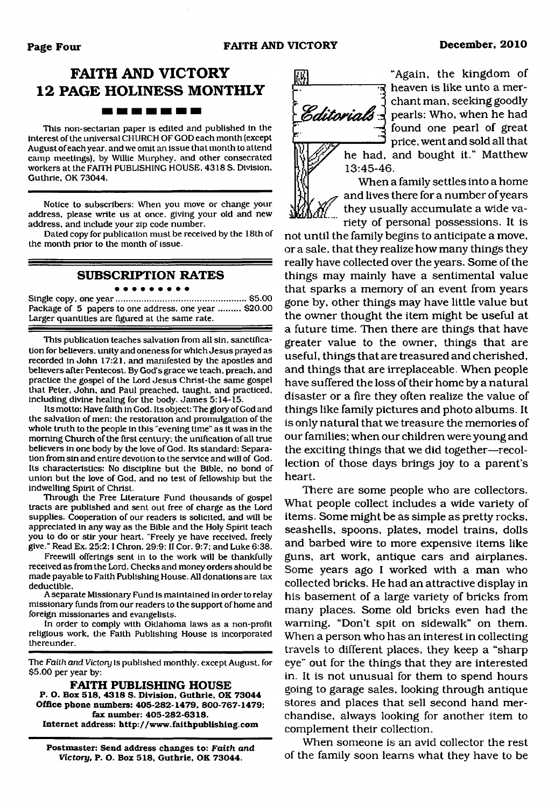### **FAITH AND VICTORY 12 PAGE HOLINESS MONTHLY** -------

This non-sectarian paper is edited and published in the interest of the universal CHURCH OF GOD each month (except August of each year, and we omit an issue that month to attend camp meetings), by Willie Murphey. and other consecrated workers at the FAITH PUBLISHING HOUSE, 4318 S. Division, Guthrie, OK 73044.

Notice to subscribers: When you move or change your address, please write us at once, giving your old and new address, and include your zip code number.

Dated copy for publication must be received by the 18th of the month prior to the month of issue.

### **SUBSCRIPTION RATES**

#### . . . . . . . . .

Single copy, one year......................................................\$5.00 Package of 5 papers to one address, one year ......... \$20.00 Larger quantities are figured at the same rate.

This publication teaches salvation from all sin, sanctification for believers, unity and oneness for which Jesus prayed as recorded in John 17:21, and manifested by the apostles and believers after Pentecost. By God's grace we teach, preach, and practice the gospel of the Lord Jesus Christ-the same gospel that Peter, John, and Paul preached, taught, and practiced, including divine healing for the body. James 5:14-15.

Its motto: Have faith in God. Its object: The glory of God and the salvation of men: the restoration and promulgation of the whole truth to the people in this "evening time" as it was in the morning Church of the first century; the unification of all true believers in one body by the love of God. Its standard: Separation from sin and entire devotion to the service and will of God. Its characteristics: No discipline but the Bible, no bond of union but the love of God, and no test of fellowship but the indwelling Spirit of Christ.

Through the Free Literature Fund thousands of gospel tracts are published and sent out free of charge as the Lord supplies. Cooperation of our readers is solicited, and will be appreciated in any way as the Bible and the Holy Spirit teach you to do or stir your heart. "Freely ye have received, freely give." Read Ex. 25:2; I Chron. 29:9; II Cor. 9:7; and Luke 6:38.

Freewill offerings sent in to the work will be thankfully received as from the Lord. Checks and money orders should be made payable to Faith Publishing House. All donations are tax deductible.

A separate Missionary Fund is maintained in order to relay missionary funds from our readers to the support of home and foreign missionaries and evangelists.

In order to comply with Oklahoma laws as a non-profit religious work, the Faith Publishing House is incorporated thereunder.

The Faith and *Victory* is published monthly, except August, for \$5.00 per year by:

**FAITH PUBLISHING HOUSE P. O. Box 518, 4318 S. Division, Guthrie, OK 73044 Office phone numbers: 405-282-1479, 800-767-1479; fax number: 405-282-6318. Internet address: <http://www.faithpublishing.com>**

**Postmaster: Send address changes to:** *Faith and Victory,* **P. O. Box 518, Guthrie, OK 73044.**



"Again, the kingdom of न्द heaven is like unto a merchant man, seeking goodly *C ditorials*  $\frac{1}{2}$  pearls: Who, when he had found one pearl of great price, went and sold all that he had, and bought it." Matthew

> When a family settles into a home and lives there for a number of years they usually accumulate a wide variety of personal possessions. It is

not until the family begins to anticipate a move, or a sale, that they realize how many things they really have collected over the years. Some of the things may mainly have a sentimental value that sparks a memory of an event from years gone by, other things may have little value but the owner thought the item might be useful at a future time. Then there are things that have greater value to the owner, things that are useful, things that are treasured and cherished, and things that are irreplaceable. When people have suffered the loss of their home by a natural disaster or a fire they often realize the value of things like family pictures and photo albums. It is only natural that we treasure the memories of our families; when our children were young and the exciting things that we did together—recollection of those days brings joy to a parent's heart.

There are some people who are collectors. What people collect includes a wide variety of items. Some might be as simple as pretty rocks, seashells, spoons, plates, model trains, dolls and barbed wire to more expensive items like guns, art work, antique cars and airplanes. Some years ago I worked with a man who collected bricks. He had an attractive display in his basement of a large variety of bricks from many places. Some old bricks even had the warning, "Don't spit on sidewalk" on them. When a person who has an interest in collecting travels to different places, they keep a "sharp eye" out for the things that they are interested in. It is not unusual for them to spend hours going to garage sales, looking through antique stores and places that sell second hand merchandise, always looking for another item to complement their collection.

When someone is an avid collector the rest of the family soon learns what they have to be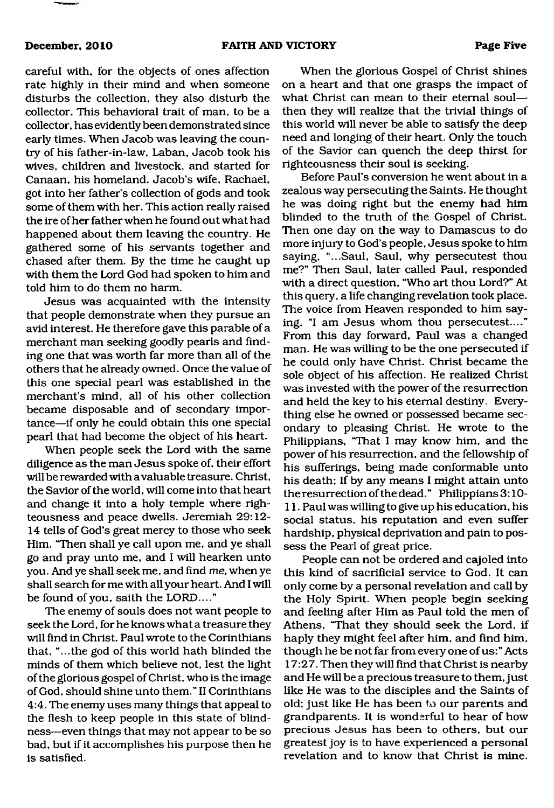careful with, for the objects of ones affection rate highly in their mind and when someone disturbs the collection, they also disturb the collector. This behavioral trait of man, to be a collector, has evidently been demonstrated since early times. When Jacob was leaving the country of his father-in-law, Laban, Jacob took his wives, children and livestock, and started for Canaan, his homeland. Jacob's wife, Rachael, got into her father's collection of gods and took some of them with her. This action really raised the ire of her father when he found out what had happened about them leaving the country. He gathered some of his servants together and chased after them. By the time he caught up with them the Lord God had spoken to him and told him to do them no harm.

Jesus was acquainted with the intensity that people demonstrate when they pursue an avid interest. He therefore gave this parable of a merchant man seeking goodly pearls and finding one that was worth far more than all of the others that he already owned. Once the value of this one special pearl was established in the merchant's mind, all of his other collection became disposable and of secondary importance—if only he could obtain this one special pearl that had become the object of his heart.

When people seek the Lord with the same diligence as the man Jesus spoke of, their effort will be rewarded with a valuable treasure. Christ, the Savior of the world, will come into that heart and change it into a holy temple where righteousness and peace dwells. Jeremiah 29:12- 14 tells of God's great mercy to those who seek Him. "Then shall ye call upon me, and ye shall go and pray unto me, and I will hearken unto you. And ye shall seek me, and find *me,* when ye shall search for me with all your heart. And I will be found of you, saith the LORD...."

The enemy of souls does not want people to seek the Lord, for he knows what a treasure they will find in Christ. Paul wrote to the Corinthians that, "...the god of this world hath blinded the minds of them which believe not, lest the light of the glorious gospel of Christ, who is the image of God, should shine unto them." II Corinthians 4:4. The enemy uses many things that appeal to the flesh to keep people in this state of blindness—even things that may not appear to be so bad, but if it accomplishes his purpose then he is satisfied.

When the glorious Gospel of Christ shines on a heart and that one grasps the impact of what Christ can mean to their eternal soul then they will realize that the trivial things of this world will never be able to satisfy the deep need and longing of their heart. Only the touch of the Savior can quench the deep thirst for righteousness their soul is seeking.

Before Paul's conversion he went about in a zealous way persecuting the Saints. He thought he was doing right but the enemy had him blinded to the truth of the Gospel of Christ. Then one day on the way to Damascus to do more injury to God's people, Jesus spoke to him saying, "...Saul, Saul, why persecutest thou me?" Then Saul, later called Paul, responded with a direct question, "Who art thou Lord?" At this query, a life changing revelation took place. The voice from Heaven responded to him saying, "I am Jesus whom thou persecutest...." From this day forward, Paul was a changed man. He was willing to be the one persecuted if he could only have Christ. Christ became the sole object of his affection. He realized Christ was invested with the power of the resurrection and held the key to his eternal destiny. Everything else he owned or possessed became secondary to pleasing Christ. He wrote to the Philippians, "That I may know him, and the power of his resurrection, and the fellowship of his sufferings, being made conformable unto his death; If by any means I might attain unto the resurrection of the dead." Philippians 3:10- 11. Paul was willing to give up his education, his social status, his reputation and even suffer hardship, physical deprivation and pain to possess the Pearl of great price.

People can not be ordered and cajoled into this kind of sacrificial service to God. It can only come by a personal revelation and call by the Holy Spirit. When people begin seeking and feeling after Him as Paul told the men of Athens, 'That they should seek the Lord, if haply they might feel after him, and find him, though he be not far from every one of us:" Acts 17:27. Then they will find that Christ is nearby and He will be a precious treasure to them, just like He was to the disciples and the Saints of old; just like He has been to our parents and grandparents. It is wonderful to hear of how precious Jesus has been to others, but our greatest joy is to have experienced a personal revelation and to know that Christ is mine.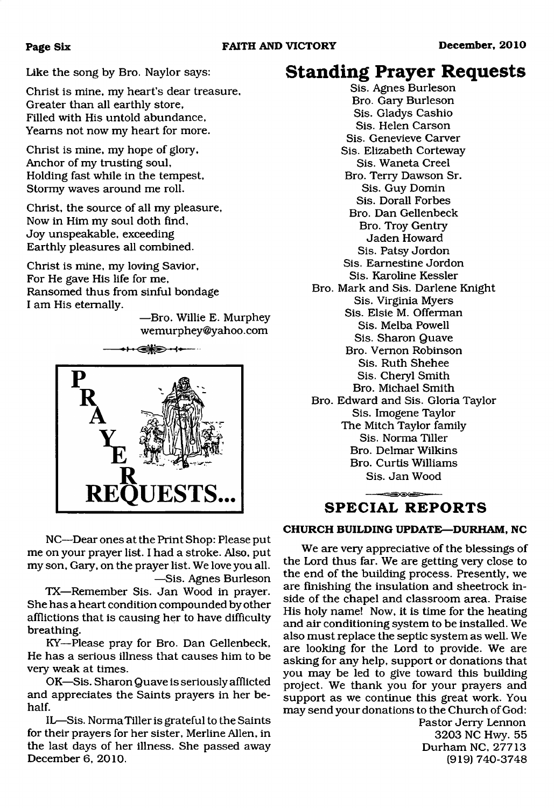### **Page Six**

Like the song by Bro. Naylor says:

Christ is mine, my heart's dear treasure, Greater than all earthly store, Filled with His untold abundance, Yearns not now my heart for more.

Christ is mine, my hope of glory, Anchor of my trusting soul. Holding fast while in the tempest, Stormy waves around me roll.

Christ, the source of all my pleasure, Now in Him my soul doth find, Joy unspeakable, exceeding Earthly pleasures all combined.

Christ is mine, my loving Savior, For He gave His life for me, Ransomed thus from sinful bondage I am His eternally.

> —Bro. Willie E. Murphey wemurphey ©yahoo. com



NC—Dear ones at the Print Shop: Please put me on your prayer list. I had a stroke. Also, put my son, Gary, on the prayer list. We love you all. —Sis. Agnes Burleson

TX—Remember Sis. Jan Wood in prayer. She has a heart condition compounded by other afflictions that is causing her to have difficulty breathing.

KY—Please pray for Bro. Dan Gellenbeck, He has a serious illness that causes him to be very weak at times.

OK—Sis. Sharon Quave is seriously afflicted and appreciates the Saints prayers in her behalf.

IL—Sis. Norma Tiller is grateful to the Saints for their prayers for her sister, Merline Allen, in the last days of her illness. She passed away December 6, 2010.

## **Standing Prayer Requests**

Sis. Agnes Burleson Bro. Gary Burleson Sis. Gladys Cashio Sis. Helen Carson Sis. Genevieve Carver Sis. Elizabeth Corteway Sis. Waneta Creel Bro. Terry Dawson Sr. Sis. Guy Domin Sis. Dorall Forbes Bro. Dan Gellenbeck Bro. Troy Gentry Jaden Howard Sis. Patsy Jordon Sis. Earnestine Jordon Sis. Karoline Kessler Bro. Mark and Sis. Darlene Knight Sis. Virginia Myers Sis. Elsie M. Offerman Sis. Melba Powell Sis. Sharon Quave Bro. Vernon Robinson Sis. Ruth Shehee Sis. Cheryl Smith Bro. Michael Smith Bro. Edward and Sis. Gloria Taylor Sis. Imogene Taylor The Mitch Taylor family Sis. Norma Tiller Bro. Delmar Wilkins Bro. Curtis Williams Sis. Jan Wood

### **SPECIAL REPORTS**

### **CHURCH BUILDING UPDATE—DURHAM, NC**

We are very appreciative of the blessings of the Lord thus far. We are getting very close to the end of the building process. Presently, we are finishing the insulation and sheetrock inside of the chapel and classroom area. Praise His holy name! Now, it is time for the heating and air conditioning system to be installed. We also must replace the septic system as well. We are looking for the Lord to provide. We are asking for any help, support or donations that you may be led to give toward this building project. We thank you for your prayers and support as we continue this great work. You may send your donations to the Church of God:

Pastor Jerry Lennon 3203 NC Hwy. 55 Durham NC, 27713 (919) 740-3748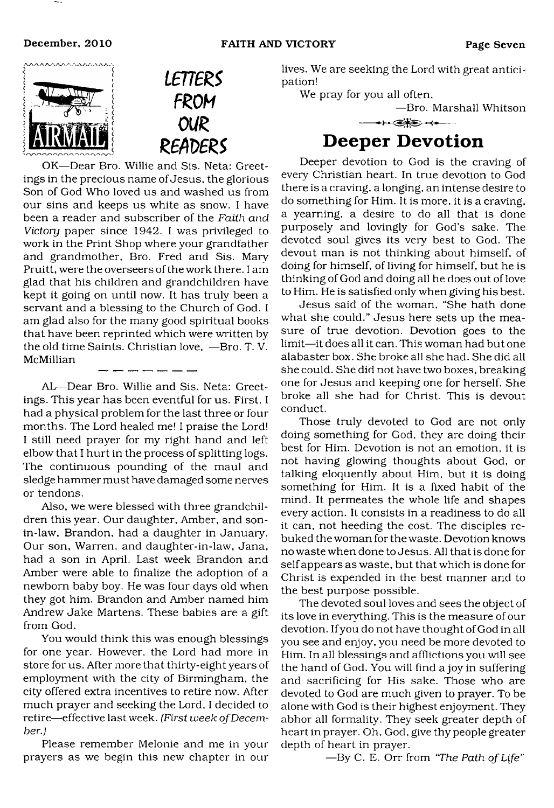



OK—Dear Bro. Willie and Sis. Neta: Greetings in the precious name of Jesus, the glorious Son of God Who loved us and washed us from our sins and keeps us white as snow. I have been a reader and subscriber of the *Faith and Victory* paper since 1942. I was privileged to work in the Print Shop where your grandfather and grandmother, Bro. Fred and Sis. Mary Pruitt, were the overseers of the work there. I am glad that his children and grandchildren have kept it going on until now. It has truly been a servant and a blessing to the Church of God. I am glad also for the many good spiritual books that have been reprinted which were written by the old time Saints. Christian love, —Bro. T. V. McMillian \_\_\_\_\_\_

AL—Dear Bro. Willie and Sis. Neta: Greetings. This year has been eventful for us. First. I had a physical problem for the last three or four months. The Lord healed me! I praise the Lord! I still need prayer for my right hand and left elbow that I hurt in the process of splitting logs. The continuous pounding of the maul and sledge hammer must have damaged some nerves or tendons.

Also, we were blessed with three grandchildren this year. Our daughter, Amber, and sonin-law, Brandon, had a daughter in January. Our son, Warren, and daughter-in-law, Jana, had a son in April. Last week Brandon and Amber were able to finalize the adoption of a newborn baby boy. He was four days old when they got him. Brandon and Amber named him Andrew Jake Martens. These babies are a gift from God.

You would think this was enough blessings for one year. However, the Lord had more in store for us. After more that thirty-eight years of employment with the city of Birmingham, the city offered extra incentives to retire now. After much prayer and seeking the Lord, I decided to retire—effective last week. *(First week of December.)*

Please remember Melonie and me in your prayers as we begin this new chapter in our lives. We are seeking the Lord with great anticipation!

<span id="page-6-0"></span>We pray for you all often,

—Bro. Marshall Whitson

# **Deeper Devotion**

Deeper devotion to God is the craving of every Christian heart. In true devotion to God there is a craving, a longing, an intense desire to do something for Him. It is more, it is a craving, a yearning, a desire to do all that is done purposely and lovingly for God's sake. The devoted soul gives its very best to God. The devout man is not thinking about himself, of doing for himself, of living for himself, but he is thinking of God and doing all he does out of love to Him. He is satisfied only when giving his best.

Jesus said of the woman, "She hath done what she could." Jesus here sets up the measure of true devotion. Devotion goes to the limit—it does all it can. This woman had but one alabaster box. She broke all she had. She did all she could. She did not have two boxes, breaking one for Jesus and keeping one for herself. She broke all she had for Christ. This is devout conduct.

Those truly devoted to God are not only doing something for God, they are doing their best for Him. Devotion is not an emotion, it is not having glowing thoughts about God, or talking eloquently about Him, but it is doing something for Him. It is a fixed habit of the mind. It permeates the whole life and shapes every action. It consists in a readiness to do all it can, not heeding the cost. The disciples rebuked the woman for the waste. Devotion knows no waste when done to Jesus. All that is done for self appears as waste, but that which is done for Christ is expended in the best manner and to the best purpose possible.

The devoted soul loves and sees the object of its love in everything. This is the measure of our devotion. Ifyou do not have thought of God in all you see and enjoy, you need be more devoted to Him. In all blessings and afflictions you will see the hand of God. You will find a joy in suffering and sacrificing for His sake. Those who are devoted to God are much given to prayer. To be alone with God is their highest enjoyment. They abhor all formality. They seek greater depth of heart in prayer. Oh, God, give thy people greater depth of heart in prayer.

—By C. E. Orr from *"The Path of Life"*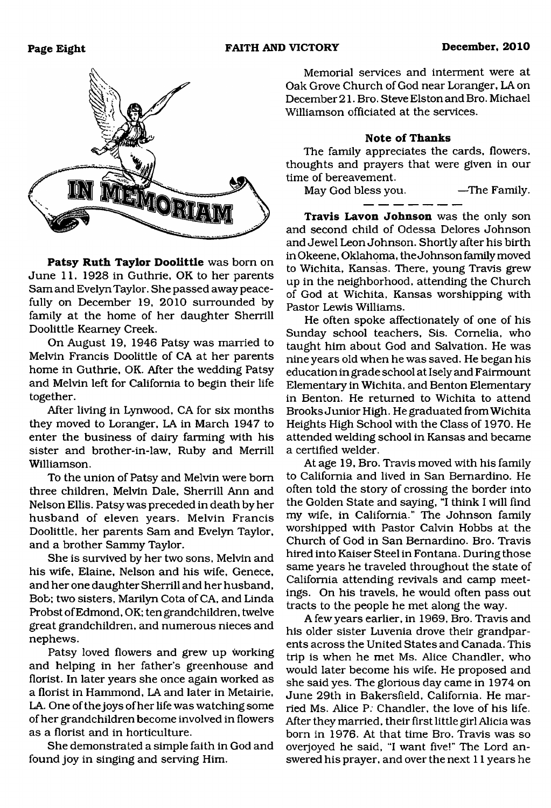

**Patsy Ruth Taylor Doolittle** was born on June 11, 1928 in Guthrie, OK to her parents Sam and Evelyn Taylor. She passed away peacefully on December 19, 2010 surrounded by family at the home of her daughter Sherrill Doolittle Kearney Creek.

On August 19, 1946 Patsy was married to Melvin Francis Doolittle of CA at her parents home in Guthrie, OK. After the wedding Patsy and Melvin left for California to begin their life together.

After living in Lynwood, CA for six months they moved to Loranger, LA in March 1947 to enter the business of dairy farming with his sister and brother-in-law, Ruby and Merrill Williamson.

To the union of Patsy and Melvin were bom three children, Melvin Dale, Sherrill Ann and Nelson Ellis. Patsy was preceded in death by her husband of eleven years. Melvin Francis Doolittle, her parents Sam and Evelyn Taylor, and a brother Sammy Taylor.

She is survived by her two sons, Melvin and his wife, Elaine, Nelson and his wife, Genece, and her one daughter Sherrill and her husband, Bob; two sisters, Marilyn Cota of CA, and Linda Probst of Edmond, OK; ten grandchildren, twelve great grandchildren, and numerous nieces and nephews.

Patsy loved flowers and grew up working and helping in her father's greenhouse and florist. In later years she once again worked as a florist in Hammond, LA and later in Metairie, LA. One of the joys of her life was watching some of her grandchildren become involved in flowers as a florist and in horticulture.

She demonstrated a simple faith in God and found joy in singing and serving Him.

Memorial services and interment were at Oak Grove Church of God near Loranger, LA on December 21. Bro. Steve Elston and Bro. Michael Williamson officiated at the services.

### **Note of Thanks**

The family appreciates the cards, flowers, thoughts and prayers that were given in our time of bereavement.

May God bless you. —The Family.

**Travis Lavon Johnson** was the only son and second child of Odessa Delores Johnson and Jewel Leon Johnson. Shortly after his birth inOkeene, Oklahoma, the Johnson family moved to Wichita, Kansas. There, young Travis grew up in the neighborhood, attending the Church of God at Wichita, Kansas worshipping with Pastor Lewis Williams.

He often spoke affectionately of one of his Sunday school teachers, Sis. Cornelia, who taught him about God and Salvation. He was nine years old when he was saved. He began his education in grade school at Isely and Fairmount Elementary in Wichita, and Benton Elementary in Benton. He returned to Wichita to attend Brooks Junior High. He graduated from Wichita Heights High School with the Class of 1970. He attended welding school in Kansas and became a certified welder.

At age 19, Bro. Travis moved with his family to California and lived in San Bernardino. He often told the story of crossing the border into the Golden State and saying, "I think I will find my wife, in California." The Johnson family worshipped with Pastor Calvin Hobbs at the Church of God in San Bernardino. Bro. Travis hired into Kaiser Steel in Fontana. During those same years he traveled throughout the state of California attending revivals and camp meetings. On his travels, he would often pass out tracts to the people he met along the way.

A few years earlier, in 1969, Bro. Travis and his older sister Luvenia drove their grandparents across the United States and Canada. This trip is when he met Ms. Alice Chandler, who would later become his wife. He proposed and she said yes. The glorious day came in 1974 on June 29th in Bakersfield, California. He married Ms. Alice P: Chandler, the love of his life. After they married, their first little girl Alicia was bom in 1976. At that time Bro. Travis was so overjoyed he said, "I want five!" The Lord answered his prayer, and over the next 11 years he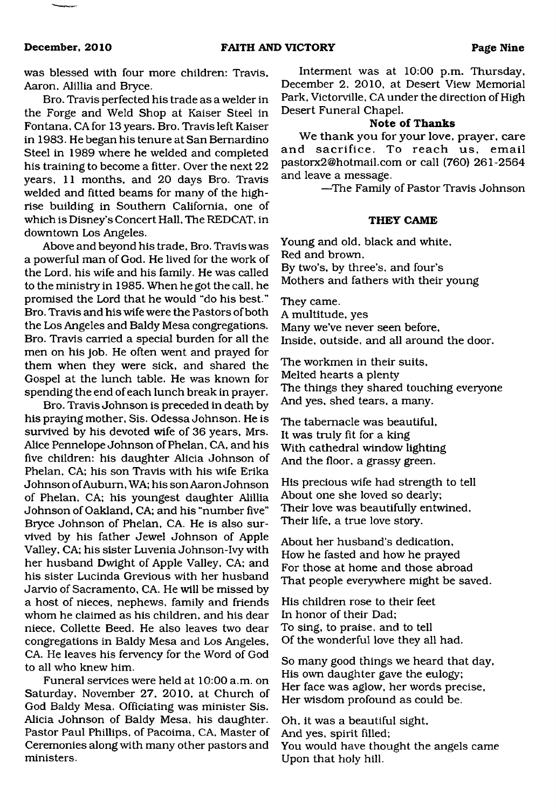was blessed with four more children: Travis, Aaron, Alillia and Bryce.

Bro. Travis perfected his trade as a welder in the Forge and Weld Shop at Kaiser Steel in Fontana, CA for 13 years. Bro. Travis left Kaiser in 1983. He began his tenure at San Bernardino Steel in 1989 where he welded and completed his training to become a fitter. Over the next 22 years, 11 months, and 20 days Bro. Travis welded and fitted beams for many of the highrise building in Southern California, one of which is Disney's Concert Hall, The REDCAT, in downtown Los Angeles.

Above and beyond his trade, Bro. Travis was a powerful man of God. He lived for the work of the Lord, his wife and his family. He was called to the ministry in 1985. When he got the call, he promised the Lord that he would "do his best." Bro. Travis and his wife were the Pastors of both the Los Angeles and Baldy Mesa congregations. Bro. Travis carried a special burden for all the men on his job. He often went and prayed for them when they were sick, and shared the Gospel at the lunch table. He was known for spending the end of each lunch break in prayer.

Bro. Travis Johnson is preceded in death by his praying mother, Sis. Odessa Johnson. He is survived by his devoted wife of 36 years, Mrs. Alice Pennelope Johnson of Phelan, CA, and his five children: his daughter Alicia Johnson of Phelan, CA; his son Travis with his wife Erika Johnson of Auburn, WA; his son Aaron Johnson of Phelan, CA; his youngest daughter Alillia Johnson of Oakland, CA; and his "number five" Bryce Johnson of Phelan, CA. He is also survived by his father Jewel Johnson of Apple Valley, CA; his sister Luvenia Johnson-Ivy with her husband Dwight of Apple Valley, CA; and his sister Lucinda Grevious with her husband Jarvio of Sacramento, CA. He will be missed by a host of nieces, nephews, family and friends whom he claimed as his children, and his dear niece, Collette Beed. He also leaves two dear congregations in Baldy Mesa and Los Angeles, CA. He leaves his fervency for the Word of God to all who knew him.

Funeral services were held at 10:00 a.m. on Saturday, November 27, 2010, at Church of God Baldy Mesa. Officiating was minister Sis. Alicia Johnson of Baldy Mesa, his daughter. Pastor Paul Phillips, of Pacoima, CA, Master of Ceremonies along with many other pastors and ministers.

Interment was at 10:00 p.m. Thursday, December 2, 2010, at Desert View Memorial Park, Victorville, CA under the direction of High Desert Funeral Chapel.

### **Note of Thanks**

We thank you for your love, prayer, care and sacrifice. To reach us, email [pastorx2@hotmail.com](mailto:pastorx2@hotmail.com) or call (760) 261-2564 and leave a message.

—The Family of Pastor Travis Johnson

### **THEY CAME**

Young and old, black and white, Red and brown, By two's, by three's, and four's Mothers and fathers with their young

They came. A multitude, yes Many we've never seen before, Inside, outside, and all around the door.

The workmen in their suits, Melted hearts a plenty The things they shared touching everyone And yes, shed tears, a many.

The tabernacle was beautiful, It was truly fit for a king With cathedral window lighting And the floor, a grassy green.

His precious wife had strength to tell About one she loved so dearly; Their love was beautifully entwined, Their life, a true love story.

About her husband's dedication, How he fasted and how he prayed For those at home and those abroad That people everywhere might be saved.

His children rose to their feet In honor of their Dad; To sing, to praise, and to tell Of the wonderful love they all had.

So many good things we heard that day, His own daughter gave the eulogy; Her face was aglow, her words precise, Her wisdom profound as could be.

Oh, it was a beautiful sight, And yes, spirit filled; You would have thought the angels came Upon that holy hill.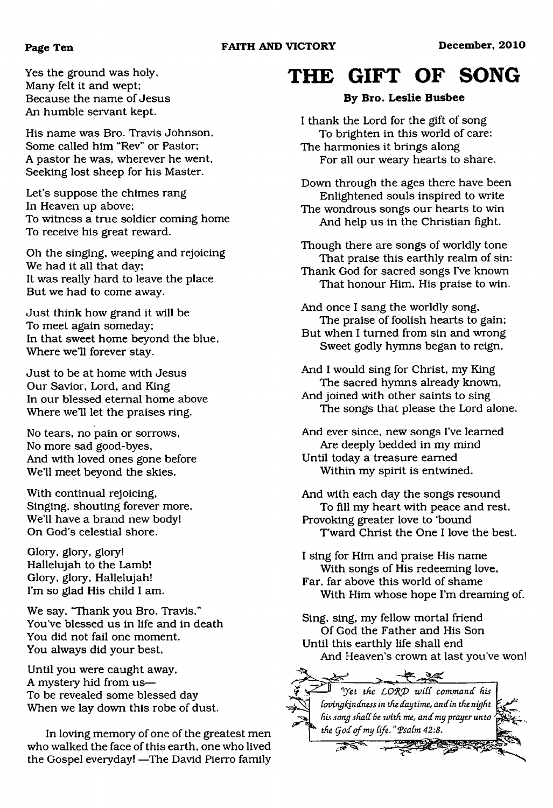### **Page Ten FAITH AND VICTORY December, 2010**

Yes the ground was holy, Many felt it and wept; Because the name of Jesus An humble servant kept.

His name was Bro. Travis Johnson, Some called him "Rev" or Pastor; A pastor he was, wherever he went. Seeking lost sheep for his Master.

Let's suppose the chimes rang In Heaven up above; To witness a true soldier coming home To receive his great reward.

Oh the singing, weeping and rejoicing We had it all that day; It was really hard to leave the place But we had to come away.

Just think how grand it will be To meet again someday; In that sweet home beyond the blue, Where we'll forever stay.

Just to be at home with Jesus Our Savior, Lord, and King In our blessed eternal home above Where we'll let the praises ring.

No tears, no pain or sorrows, No more sad good-byes, And with loved ones gone before We'll meet beyond the skies.

With continual rejoicing, Singing, shouting forever more, We'll have a brand new body! On God's celestial shore.

Glory, glory, glory! Hallelujah to the Lamb! Glory, glory, Hallelujah! I'm so glad His child I am.

We say, "Thank you Bro. Travis," You've blessed us in life and in death You did not fail one moment, You always did your best,

Until you were caught away, A mystery hid from us— To be revealed some blessed day When we lay down this robe of dust.

In loving memory of one of the greatest men who walked the face of this earth, one who lived the Gospel everyday! —The David Pierro family

# <span id="page-9-0"></span>**THE GIFT OF SONG**

### **By Bro. Leslie Busbee**

I thank the Lord for the gift of song To brighten in this world of care: The harmonies it brings along For all our weary hearts to share.

Down through the ages there have been Enlightened souls inspired to write The wondrous songs our hearts to win And help us in the Christian fight.

Though there are songs of worldly tone That praise this earthly realm of sin: Thank God for sacred songs I've known That honour Him, His praise to win.

And once I sang the worldly song, The praise of foolish hearts to gain; But when I turned from sin and wrong Sweet godly hymns began to reign,

And I would sing for Christ, my King The sacred hymns already known, And joined with other saints to sing The songs that please the Lord alone.

And ever since, new songs I've learned Are deeply bedded in my mind Until today a treasure earned Within my spirit is entwined.

And with each day the songs resound To fill my heart with peace and rest. Provoking greater love to 'bound T'ward Christ the One I love the best.

I sing for Him and praise His name With songs of His redeeming love, Far, far above this world of shame With Him whose hope I'm dreaming of.

Sing, sing, my fellow mortal friend Of God the Father and His Son Until this earthly life shall end And Heaven's crown at last you've won!

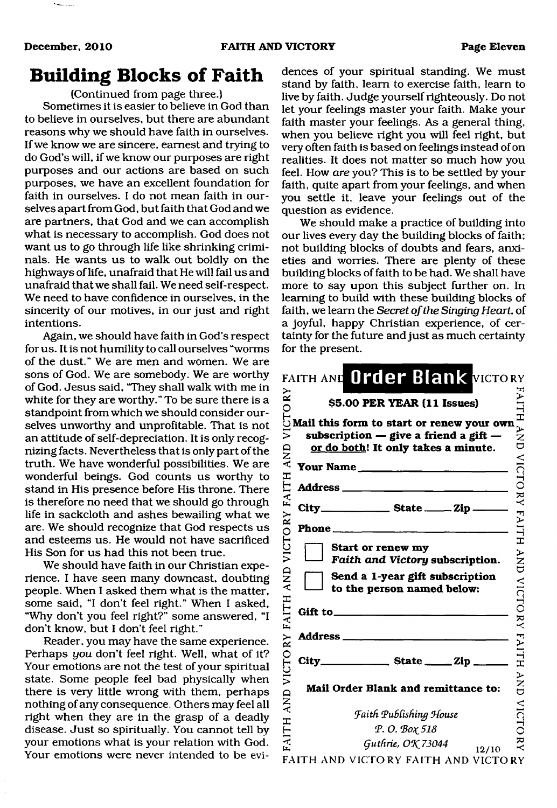### **Building Blocks of Faith**

(Continued from page three.)

Sometimes it is easier to believe in God than to believe in ourselves, but there are abundant reasons why we should have faith in ourselves. If we know we are sincere, earnest and trying to do God's will, if we know our purposes are right purposes and our actions are based on such purposes, we have an excellent foundation for faith in ourselves. I do not mean faith in ourselves apart from God, but faith that God and we are partners, that God and we can accomplish what is necessary to accomplish. God does not want us to go through life like shrinking criminals. He wants us to walk out boldly on the highways of life, unafraid that He will fail us and unafraid that we shall fail. We need self-respect. We need to have confidence in ourselves, in the sincerity of our motives, in our just and right intentions.

Again, we should have faith in God's respect for us. It is not humility to call ourselves "worms of the dust." We are men and women. We are sons of God. We are somebody. We are worthy of God. Jesus said, "They shall walk with me in white for they are worthy." To be sure there is a standpoint from which we should consider ourselves unworthy and unprofitable. That is not an attitude of self-depreciation. It is only recognizing facts. Nevertheless that is only part of the truth. We have wonderful possibilities. We are wonderful beings. God counts us worthy to stand in His presence before His throne. There is therefore no need that we should go through life in sackcloth and ashes bewailing what we are. We should recognize that God respects us and esteems us. He would not have sacrificed His Son for us had this not been true.

We should have faith in our Christian experience. I have seen many downcast, doubting people. When I asked them what is the matter, some said, "I don't feel right." When I asked, "Why don't you feel right?" some answered, "I don't know, but I don't feel right."

Reader, you may have the same experience. Perhaps *you* don't feel right. Well, what of it? Your emotions are not the test of your spiritual state. Some people feel bad physically when there is very little wrong with them, perhaps nothing of any consequence. Others may feel all right when they are in the grasp of a deadly disease. Just so spiritually. You cannot tell by your emotions what is your relation with God. Your emotions were never intended to be evidences of your spiritual standing. We must stand by faith, learn to exercise faith, learn to live by faith. Judge yourself righteously. Do not let your feelings master your faith. Make your faith master your feelings. As a general thing, when you believe right you will feel right, but very often faith is based on feelings instead of on realities. It does not matter so much how you feel. How *are* you? This is to be settled by your faith, quite apart from your feelings, and when you settle it, leave your feelings out of the question as evidence.

We should make a practice of building into our lives every day the building blocks of faith; not building blocks of doubts and fears, anxieties and worries. There are plenty of these building blocks of faith to be had. We shall have more to say upon this subject further on. In learning to build with these building blocks of faith, we learn the *Secret of the Singing Heart,* of a joyful, happy Christian experience, of certainty for the future and just as much certainty for the present.

|                            | FAITH AND Order Blank VICTORY                                                                                                                     |                      |
|----------------------------|---------------------------------------------------------------------------------------------------------------------------------------------------|----------------------|
| $\mathbf{R}^{\prime}$<br>0 | \$5.00 PER YEAR (11 Issues)                                                                                                                       |                      |
| VICT<br><b>AND</b>         | Mail this form to start or renew your own<br>subscription $-$ give a friend a gift $-$<br>or do both! It only takes a minute.<br>Your Name $\_\_$ | FAITH AND VICTORY    |
| <b>ITH</b>                 |                                                                                                                                                   |                      |
| FA                         |                                                                                                                                                   |                      |
|                            | $Phone \_$                                                                                                                                        |                      |
| VICTORY                    | Start or renew my<br>Faith and Victory subscription.                                                                                              | <b>FAITH AND</b>     |
| AND                        | Send a 1-year gift subscription<br>to the person named below:                                                                                     |                      |
| <b>FAITH</b>               | Gift to $\_$                                                                                                                                      |                      |
|                            | Address <sub>—</sub>                                                                                                                              | <b>VICTORY FAITH</b> |
|                            |                                                                                                                                                   |                      |
| <b>AND VICTORY</b>         | Mail Order Blank and remittance to:                                                                                                               | $\sum_{i=1}^{n}$     |
|                            | <b>Faith Publishing House</b>                                                                                                                     | <b>VICTORY</b>       |
| <b>FAITH</b>               | Р. О. Вох 518                                                                                                                                     |                      |
|                            | Guthrie, OK 73044<br>12/10<br>FAITH AND VICTORY FAITH AND VICTORY                                                                                 |                      |